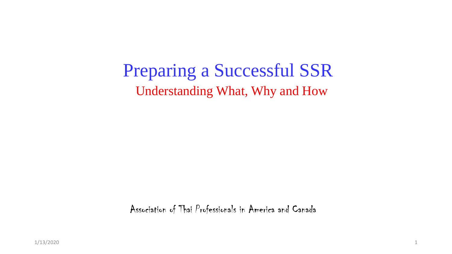Preparing a Successful SSR Understanding What, Why and How

Association of Thai Professionals in America and Canada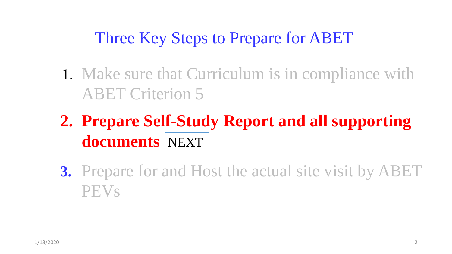### Three Key Steps to Prepare for ABET

- 1. Make sure that Curriculum is in compliance with ABET Criterion 5
- **2. Prepare Self-Study Report and all supporting documents**  NEXT
- **3.** Prepare for and Host the actual site visit by ABET PEVs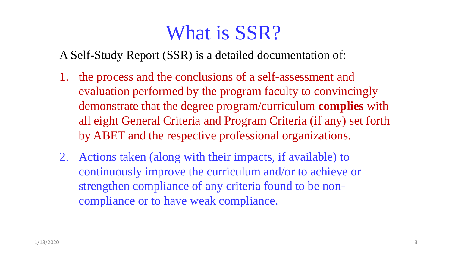# What is SSR?

A Self-Study Report (SSR) is a detailed documentation of:

- 1. the process and the conclusions of a self-assessment and evaluation performed by the program faculty to convincingly demonstrate that the degree program/curriculum **complies** with all eight General Criteria and Program Criteria (if any) set forth by ABET and the respective professional organizations.
- 2. Actions taken (along with their impacts, if available) to continuously improve the curriculum and/or to achieve or strengthen compliance of any criteria found to be noncompliance or to have weak compliance.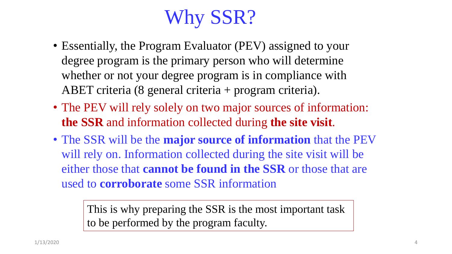# Why SSR?

- Essentially, the Program Evaluator (PEV) assigned to your degree program is the primary person who will determine whether or not your degree program is in compliance with ABET criteria (8 general criteria + program criteria).
- The PEV will rely solely on two major sources of information: **the SSR** and information collected during **the site visit**.
- The SSR will be the **major source of information** that the PEV will rely on. Information collected during the site visit will be either those that **cannot be found in the SSR** or those that are used to **corroborate** some SSR information

This is why preparing the SSR is the most important task to be performed by the program faculty.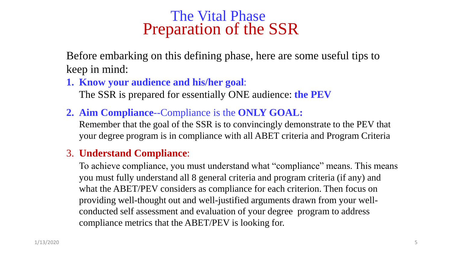#### The Vital Phase Preparation of the SSR

Before embarking on this defining phase, here are some useful tips to keep in mind:

**1. Know your audience and his/her goal**:

The SSR is prepared for essentially ONE audience: **the PEV**

**2. Aim Compliance**--Compliance is the **ONLY GOAL:**

Remember that the goal of the SSR is to convincingly demonstrate to the PEV that your degree program is in compliance with all ABET criteria and Program Criteria

#### 3. **Understand Compliance**:

To achieve compliance, you must understand what "compliance" means. This means you must fully understand all 8 general criteria and program criteria (if any) and what the ABET/PEV considers as compliance for each criterion. Then focus on providing well-thought out and well-justified arguments drawn from your wellconducted self assessment and evaluation of your degree program to address compliance metrics that the ABET/PEV is looking for.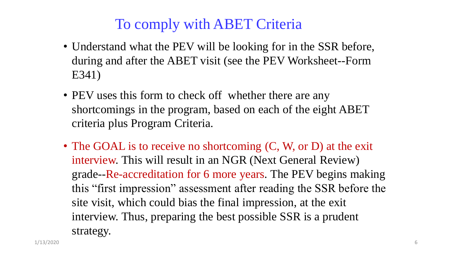### To comply with ABET Criteria

- Understand what the PEV will be looking for in the SSR before, during and after the ABET visit (see the PEV Worksheet--Form E341)
- PEV uses this form to check off whether there are any shortcomings in the program, based on each of the eight ABET criteria plus Program Criteria.
- The GOAL is to receive no shortcoming  $(C, W, \text{or } D)$  at the exit interview. This will result in an NGR (Next General Review) grade--Re-accreditation for 6 more years. The PEV begins making this "first impression" assessment after reading the SSR before the site visit, which could bias the final impression, at the exit interview. Thus, preparing the best possible SSR is a prudent strategy.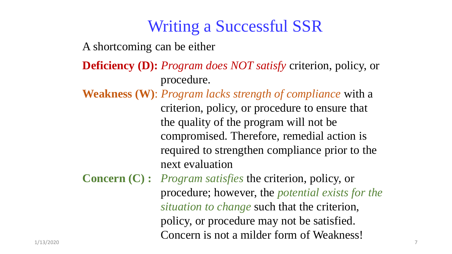### Writing a Successful SSR

A shortcoming can be either

**Deficiency (D):** *Program does NOT satisfy* criterion, policy, or procedure.

**Weakness (W)**: *Program lacks strength of compliance* with a criterion, policy, or procedure to ensure that the quality of the program will not be compromised. Therefore, remedial action is required to strengthen compliance prior to the next evaluation

**Concern (C) :** *Program satisfies* the criterion, policy, or procedure; however, the *potential exists for the situation to change* such that the criterion, policy, or procedure may not be satisfied. Concern is not a milder form of Weakness!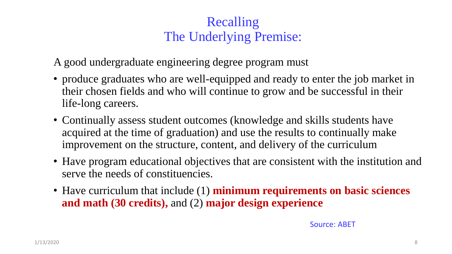#### Recalling The Underlying Premise:

A good undergraduate engineering degree program must

- produce graduates who are well-equipped and ready to enter the job market in their chosen fields and who will continue to grow and be successful in their life-long careers.
- Continually assess student outcomes (knowledge and skills students have acquired at the time of graduation) and use the results to continually make improvement on the structure, content, and delivery of the curriculum
- Have program educational objectives that are consistent with the institution and serve the needs of constituencies.
- Have curriculum that include (1) **minimum requirements on basic sciences and math (30 credits),** and (2) **major design experience**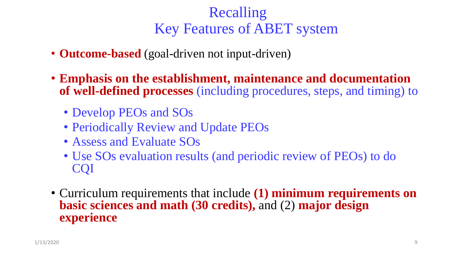### Recalling Key Features of ABET system

- **Outcome-based** (goal-driven not input-driven)
- **Emphasis on the establishment, maintenance and documentation of well-defined processes** (including procedures, steps, and timing) to
	- Develop PEOs and SOs
	- Periodically Review and Update PEOs
	- Assess and Evaluate SOs
	- Use SOs evaluation results (and periodic review of PEOs) to do CQI
- Curriculum requirements that include **(1) minimum requirements on basic sciences and math (30 credits),** and (2) **major design experience**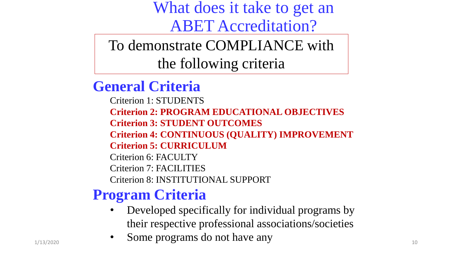What does it take to get an ABET Accreditation?

To demonstrate COMPLIANCE with the following criteria

**General Criteria**

Criterion 1: STUDENTS **Criterion 2: PROGRAM EDUCATIONAL OBJECTIVES Criterion 3: STUDENT OUTCOMES Criterion 4: CONTINUOUS (QUALITY) IMPROVEMENT Criterion 5: CURRICULUM** Criterion 6: FACULTY

Criterion 7: FACILITIES

Criterion 8: INSTITUTIONAL SUPPORT

### **Program Criteria**

- Developed specifically for individual programs by their respective professional associations/societies
- $\bullet$  Some programs do not have any  $\bullet$  1/13/2020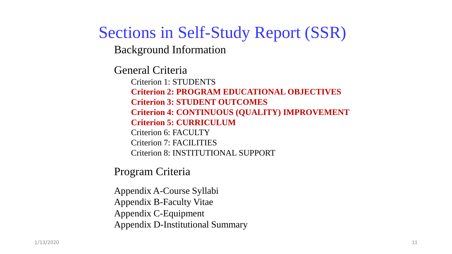### Sections in Self-Study Report (SSR)

Background Information

General Criteria

Criterion 1: STUDENTS **Criterion 2: PROGRAM EDUCATIONAL OBJECTIVES Criterion 3: STUDENT OUTCOMES Criterion 4: CONTINUOUS (QUALITY) IMPROVEMENT Criterion 5: CURRICULUM** Criterion 6: FACULTY Criterion 7: FACILITIES Criterion 8: INSTITUTIONAL SUPPORT

Program Criteria

Appendix A-Course Syllabi Appendix B-Faculty Vitae Appendix C-Equipment Appendix D-Institutional Summary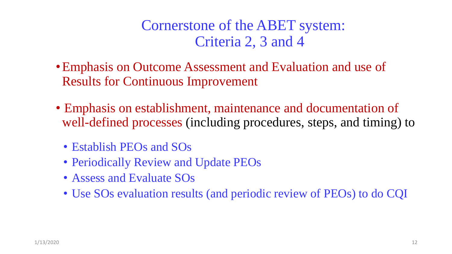Cornerstone of the ABET system: Criteria 2, 3 and 4

- •Emphasis on Outcome Assessment and Evaluation and use of Results for Continuous Improvement
- Emphasis on establishment, maintenance and documentation of well-defined processes (including procedures, steps, and timing) to
	- Establish PEOs and SOs
	- Periodically Review and Update PEOs
	- Assess and Evaluate SOs
	- Use SOs evaluation results (and periodic review of PEOs) to do CQI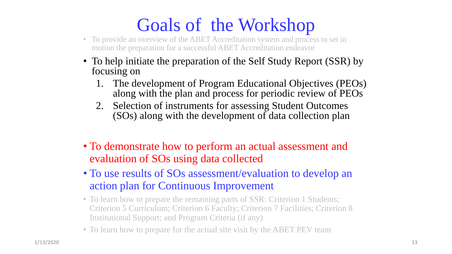# Goals of the Workshop

- To provide an overview of the ABET Accreditation system and process to set in motion the preparation for a successful ABET Accreditation endeavor
- To help initiate the preparation of the Self Study Report (SSR) by focusing on
	- 1. The development of Program Educational Objectives (PEOs) along with the plan and process for periodic review of PEOs
	- 2. Selection of instruments for assessing Student Outcomes (SOs) along with the development of data collection plan
- To demonstrate how to perform an actual assessment and evaluation of SOs using data collected
- To use results of SOs assessment/evaluation to develop an action plan for Continuous Improvement
- To learn how to prepare the remaining parts of SSR: Criterion 1 Students; Criterion 5 Curriculum; Criterion 6 Faculty; Criterion 7 Facilities; Criterion 8 Institutional Support; and Program Criteria (if any)
- To learn how to prepare for the actual site visit by the ABET PEV team